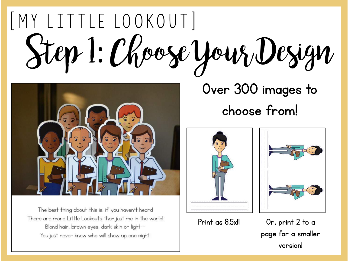### [MY LITTLE LOOKOUT] Step 1: Choose Your Design



The best thing about this is, if you haven't heard There are more Little Lookouts than just me in the world! Blond hair, brown eyes, dark skin or light--You just never know who will show up one night!

Over 300 images to choose from!





Print as  $8.5x$ II Or, print  $2$  to a page for a smaller version!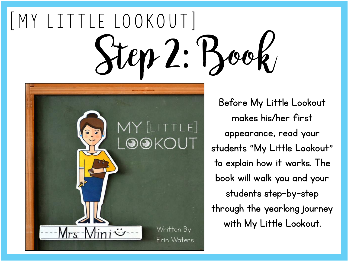## MY LITTLE LOOKOUT| Step 2: Book



Before My Little Lookout makes his/her first appearance, read your students "My Little Lookout" to explain how it works. The book will walk you and your students step-by-step through the yearlong journey with My Little Lookout.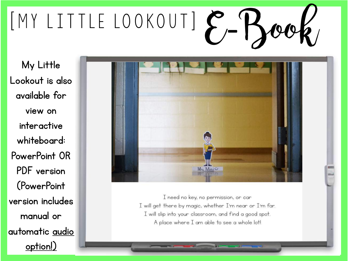# EMY LITTLE LOOKOUT]  $P$ , 'H

My Little Lookout is also available for view on interactive whiteboard: PowerPoint OR PDF version (PowerPoint version includes manual or automatic audio option!)



I need no key, no permission, or car I will get there by magic, whether I'm near or I'm far. I will slip into your classroom, and find a good spot. A place where I am able to see a whole lot!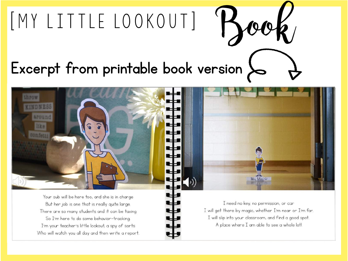### Excerpt from printable book version

 $[MY LITILE LOOKOUT]$ 



A place where I am able to see a whole lot!

I'm your teacher's little lookout, a spy of sorts Who will watch you all day and then write a report.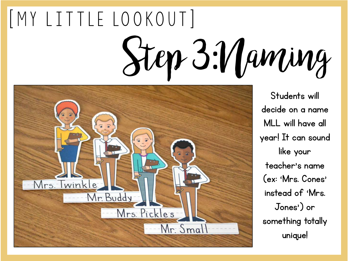# [MY LITTLE LOOKOUT] Step 3:Naming



Students will decide on a name MLL will have all year! It can sound like your teacher's name (ex: 'Mrs. Cones' instead of 'Mrs. Jones') or something totally unique!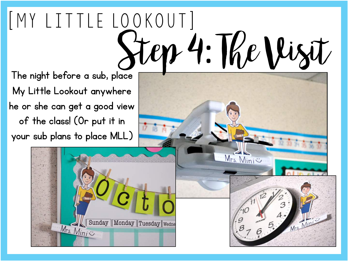### [ My L i t t le lo o ko u t ] Step 4: The Visit The night before a sub, place

Mrs. Mini

My Little Lookout anywhere he or she can get a good view of the class! (Or put it in your sub plans to place MLL)

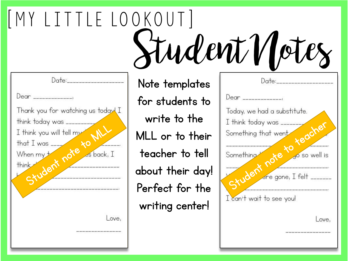MY LITTLE LOOKOUT Student Notes  $Date:$ Date: Note templates Dear \_\_\_\_\_\_\_\_\_\_\_\_\_\_  $Dear$ for students to Thank you for watching us today I Today, we had a substitute. write to the think today was<br>Lithink you will tell my<br>hat I was<br>When my think<br>Student note as back, think today was \_\_\_\_\_\_\_\_\_\_  $I$  think today was \_\_\_\_\_\_\_\_\_ that went<br>that went<br>that went<br>to yo so well I think you will tell my Something that went MLL or to their that I was  $\frac{1}{2}$ Something es back, I teacher to tell go so well is When my + think Student about their day! ere gone, I felt \_\_\_\_\_\_\_ Perfect for the I can't wait to see you! writing center!Love, Love,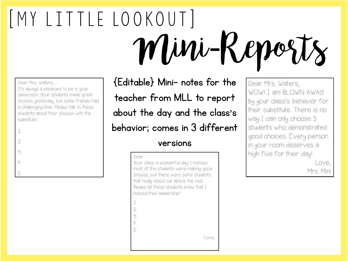### [ My L i t t le lo o ko u t ] Mini-Reports

### Dear Mrs Waters,

It's aways a pleasure to be in your classroom Your students made great. choices yestenday, but some friends had a chalenging time. Please talk to these students about their choices with the substitute

| $\bar{1}$     |  |  |  |
|---------------|--|--|--|
|               |  |  |  |
| $\frac{2}{3}$ |  |  |  |
|               |  |  |  |
| $rac{4}{5}$   |  |  |  |

{Editable} Mini- notes for the teacher from MLL to report about the day and the class's behavior; comes in 3 different

### versions

### Dean

Sour class a wonderful day! I noticed most of the students were making good choices, but there were some students that really stood out above the rest Please let these students know that I noticed their leadership!

- 
- 
- $\tilde{3}$
- 
- 5

Dear Mrs. Waters, WOW! I am BLOWN AWAY by your class's behavior for their substitute. There is no way I can only choose 5 students who demonstrated good choices. Every person in your room deserves a high five for their day!

Love, Mrs. Mini

Love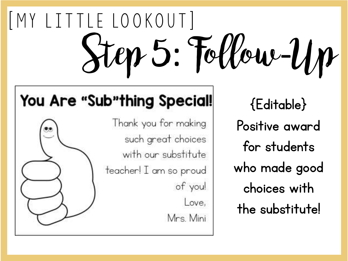# $[MY LITILE LOOKOUT]$ Step 5: Follow-Up

### You Are "Sub"thing Special!

Thank you for making such great choices with our substitute teacher! I am so proud of you! Love, Mrs. Mini

{Editable} Positive award for students who made good choices with the substitute!